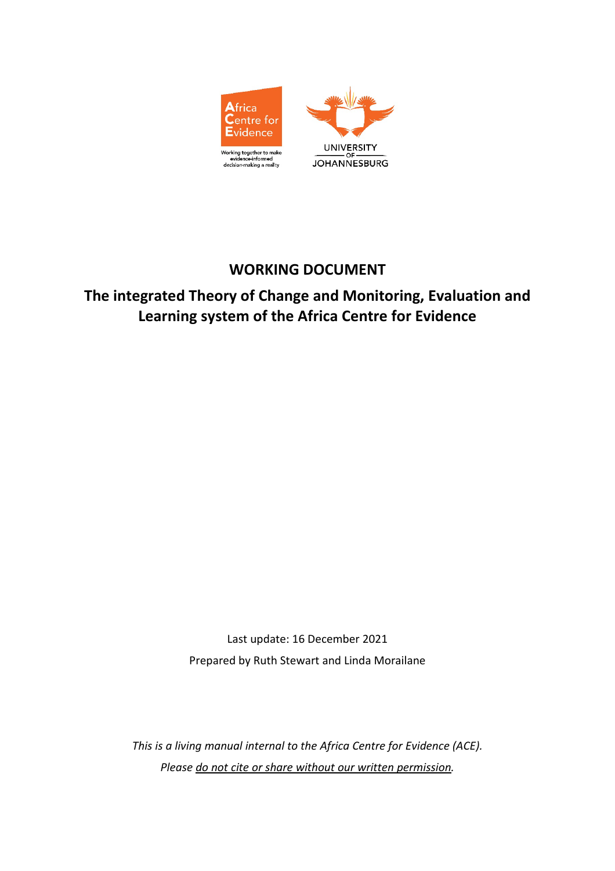

# **WORKING DOCUMENT**

**The integrated Theory of Change and Monitoring, Evaluation and Learning system of the Africa Centre for Evidence**

> Last update: 16 December 2021 Prepared by Ruth Stewart and Linda Morailane

*This is a living manual internal to the Africa Centre for Evidence (ACE). Please do not cite or share without our written permission.*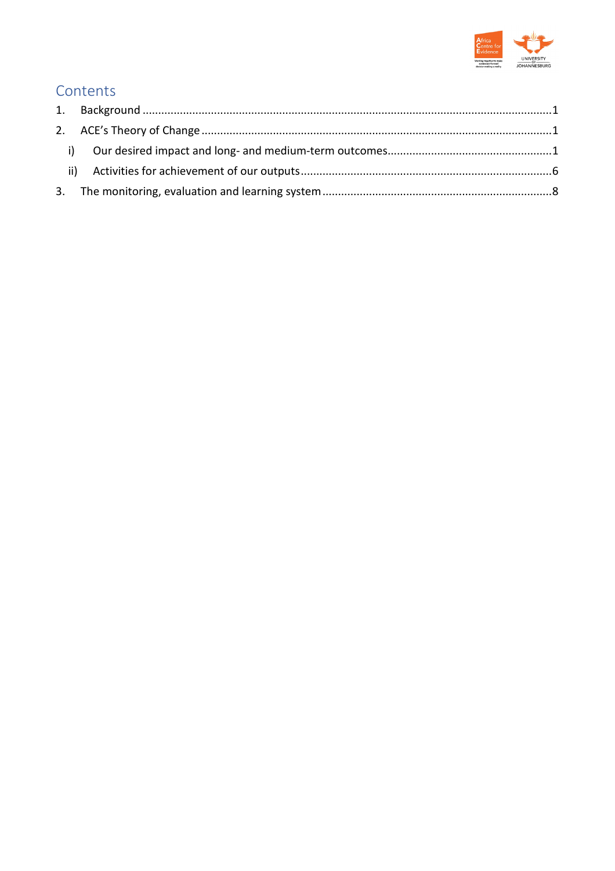

# Contents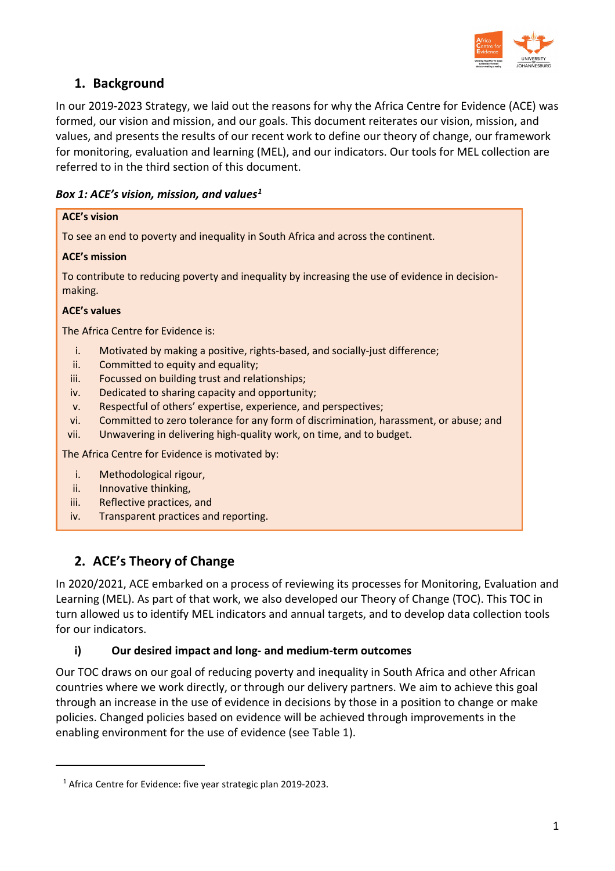

# <span id="page-2-0"></span>**1. Background**

In our 2019-2023 Strategy, we laid out the reasons for why the Africa Centre for Evidence (ACE) was formed, our vision and mission, and our goals. This document reiterates our vision, mission, and values, and presents the results of our recent work to define our theory of change, our framework for monitoring, evaluation and learning (MEL), and our indicators. Our tools for MEL collection are referred to in the third section of this document.

#### *Box 1: ACE's vision, mission, and value[s1](#page-2-3)*

| <b>ACE's vision</b>                                                                                        |  |  |  |  |
|------------------------------------------------------------------------------------------------------------|--|--|--|--|
| To see an end to poverty and inequality in South Africa and across the continent.                          |  |  |  |  |
| <b>ACE's mission</b>                                                                                       |  |  |  |  |
| To contribute to reducing poverty and inequality by increasing the use of evidence in decision-<br>making. |  |  |  |  |
| <b>ACE's values</b>                                                                                        |  |  |  |  |
| The Africa Centre for Evidence is:                                                                         |  |  |  |  |
| i.<br>Motivated by making a positive, rights-based, and socially-just difference;                          |  |  |  |  |
| Committed to equity and equality;<br>ii.                                                                   |  |  |  |  |
| iii.<br>Focussed on building trust and relationships;                                                      |  |  |  |  |
| Dedicated to sharing capacity and opportunity;<br>iv.                                                      |  |  |  |  |
| Respectful of others' expertise, experience, and perspectives;<br>V <sub>1</sub>                           |  |  |  |  |
| Committed to zero tolerance for any form of discrimination, harassment, or abuse; and<br>vi.               |  |  |  |  |
| Unwavering in delivering high-quality work, on time, and to budget.<br>vii.                                |  |  |  |  |
| The Africa Centre for Evidence is motivated by:                                                            |  |  |  |  |
| Methodological rigour,<br>i.                                                                               |  |  |  |  |

ii. Innovative thinking,

<span id="page-2-3"></span> $\overline{a}$ 

- iii. Reflective practices, and
- iv. Transparent practices and reporting.

# <span id="page-2-1"></span>**2. ACE's Theory of Change**

In 2020/2021, ACE embarked on a process of reviewing its processes for Monitoring, Evaluation and Learning (MEL). As part of that work, we also developed our Theory of Change (TOC). This TOC in turn allowed us to identify MEL indicators and annual targets, and to develop data collection tools for our indicators.

#### <span id="page-2-2"></span>**i) Our desired impact and long- and medium-term outcomes**

Our TOC draws on our goal of reducing poverty and inequality in South Africa and other African countries where we work directly, or through our delivery partners. We aim to achieve this goal through an increase in the use of evidence in decisions by those in a position to change or make policies. Changed policies based on evidence will be achieved through improvements in the enabling environment for the use of evidence (see Table 1).

<sup>&</sup>lt;sup>1</sup> Africa Centre for Evidence: five year strategic plan 2019-2023.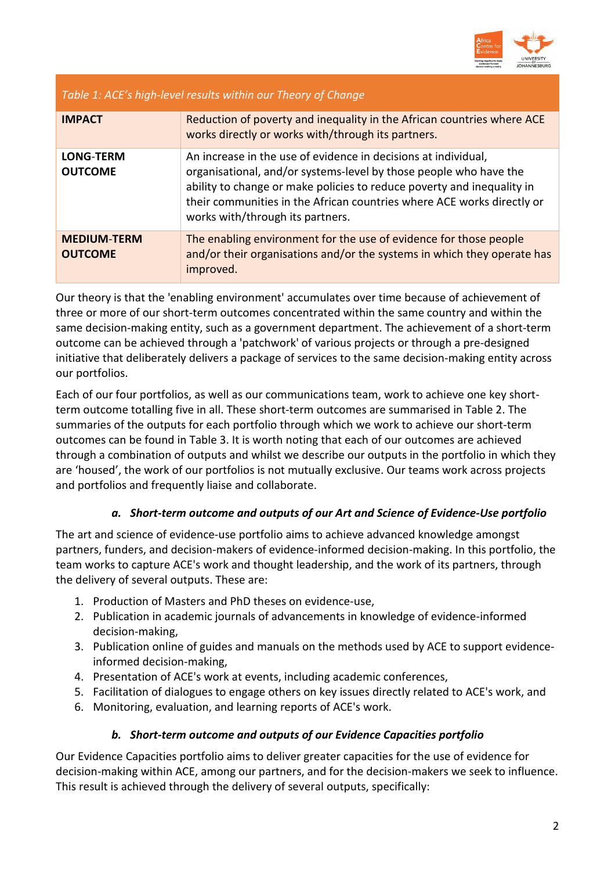

## *Table 1: ACE's high-level results within our Theory of Change*

| <b>IMPACT</b>                        | Reduction of poverty and inequality in the African countries where ACE<br>works directly or works with/through its partners.                                                                                                                                                                                                |
|--------------------------------------|-----------------------------------------------------------------------------------------------------------------------------------------------------------------------------------------------------------------------------------------------------------------------------------------------------------------------------|
| <b>LONG-TERM</b><br><b>OUTCOME</b>   | An increase in the use of evidence in decisions at individual,<br>organisational, and/or systems-level by those people who have the<br>ability to change or make policies to reduce poverty and inequality in<br>their communities in the African countries where ACE works directly or<br>works with/through its partners. |
| <b>MEDIUM-TERM</b><br><b>OUTCOME</b> | The enabling environment for the use of evidence for those people<br>and/or their organisations and/or the systems in which they operate has<br>improved.                                                                                                                                                                   |

Our theory is that the 'enabling environment' accumulates over time because of achievement of three or more of our short-term outcomes concentrated within the same country and within the same decision-making entity, such as a government department. The achievement of a short-term outcome can be achieved through a 'patchwork' of various projects or through a pre-designed initiative that deliberately delivers a package of services to the same decision-making entity across our portfolios.

Each of our four portfolios, as well as our communications team, work to achieve one key shortterm outcome totalling five in all. These short-term outcomes are summarised in Table 2. The summaries of the outputs for each portfolio through which we work to achieve our short-term outcomes can be found in Table 3. It is worth noting that each of our outcomes are achieved through a combination of outputs and whilst we describe our outputs in the portfolio in which they are 'housed', the work of our portfolios is not mutually exclusive. Our teams work across projects and portfolios and frequently liaise and collaborate.

#### *a. Short-term outcome and outputs of our Art and Science of Evidence-Use portfolio*

The art and science of evidence-use portfolio aims to achieve advanced knowledge amongst partners, funders, and decision-makers of evidence-informed decision-making. In this portfolio, the team works to capture ACE's work and thought leadership, and the work of its partners, through the delivery of several outputs. These are:

- 1. Production of Masters and PhD theses on evidence-use,
- 2. Publication in academic journals of advancements in knowledge of evidence-informed decision-making,
- 3. Publication online of guides and manuals on the methods used by ACE to support evidenceinformed decision-making,
- 4. Presentation of ACE's work at events, including academic conferences,
- 5. Facilitation of dialogues to engage others on key issues directly related to ACE's work, and
- 6. Monitoring, evaluation, and learning reports of ACE's work.

#### *b. Short-term outcome and outputs of our Evidence Capacities portfolio*

Our Evidence Capacities portfolio aims to deliver greater capacities for the use of evidence for decision-making within ACE, among our partners, and for the decision-makers we seek to influence. This result is achieved through the delivery of several outputs, specifically: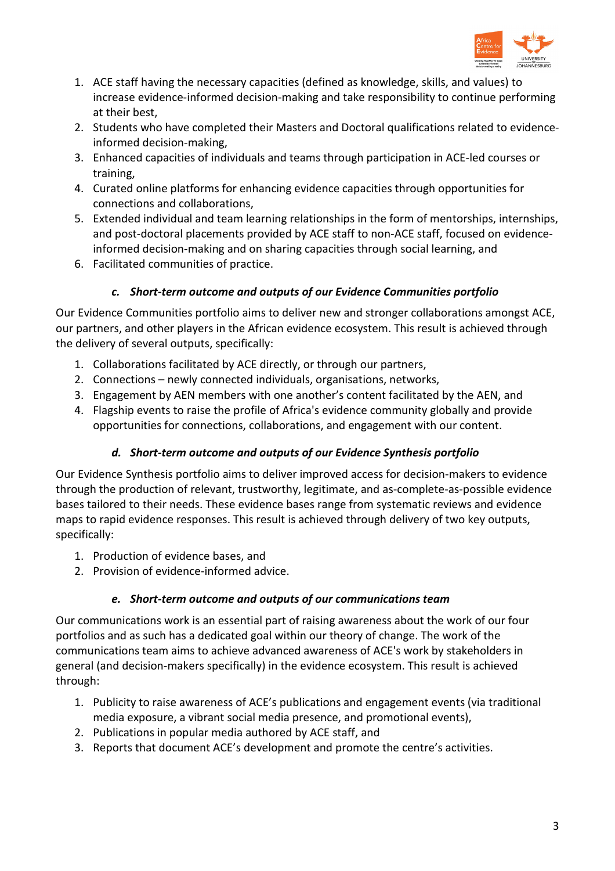

- 1. ACE staff having the necessary capacities (defined as knowledge, skills, and values) to increase evidence-informed decision-making and take responsibility to continue performing at their best,
- 2. Students who have completed their Masters and Doctoral qualifications related to evidenceinformed decision-making,
- 3. Enhanced capacities of individuals and teams through participation in ACE-led courses or training,
- 4. Curated online platforms for enhancing evidence capacities through opportunities for connections and collaborations,
- 5. Extended individual and team learning relationships in the form of mentorships, internships, and post-doctoral placements provided by ACE staff to non-ACE staff, focused on evidenceinformed decision-making and on sharing capacities through social learning, and
- 6. Facilitated communities of practice.

## *c. Short-term outcome and outputs of our Evidence Communities portfolio*

Our Evidence Communities portfolio aims to deliver new and stronger collaborations amongst ACE, our partners, and other players in the African evidence ecosystem. This result is achieved through the delivery of several outputs, specifically:

- 1. Collaborations facilitated by ACE directly, or through our partners,
- 2. Connections newly connected individuals, organisations, networks,
- 3. Engagement by AEN members with one another's content facilitated by the AEN, and
- 4. Flagship events to raise the profile of Africa's evidence community globally and provide opportunities for connections, collaborations, and engagement with our content.

#### *d. Short-term outcome and outputs of our Evidence Synthesis portfolio*

Our Evidence Synthesis portfolio aims to deliver improved access for decision-makers to evidence through the production of relevant, trustworthy, legitimate, and as-complete-as-possible evidence bases tailored to their needs. These evidence bases range from systematic reviews and evidence maps to rapid evidence responses. This result is achieved through delivery of two key outputs, specifically:

- 1. Production of evidence bases, and
- 2. Provision of evidence-informed advice.

#### *e. Short-term outcome and outputs of our communications team*

Our communications work is an essential part of raising awareness about the work of our four portfolios and as such has a dedicated goal within our theory of change. The work of the communications team aims to achieve advanced awareness of ACE's work by stakeholders in general (and decision-makers specifically) in the evidence ecosystem. This result is achieved through:

- 1. Publicity to raise awareness of ACE's publications and engagement events (via traditional media exposure, a vibrant social media presence, and promotional events),
- 2. Publications in popular media authored by ACE staff, and
- 3. Reports that document ACE's development and promote the centre's activities.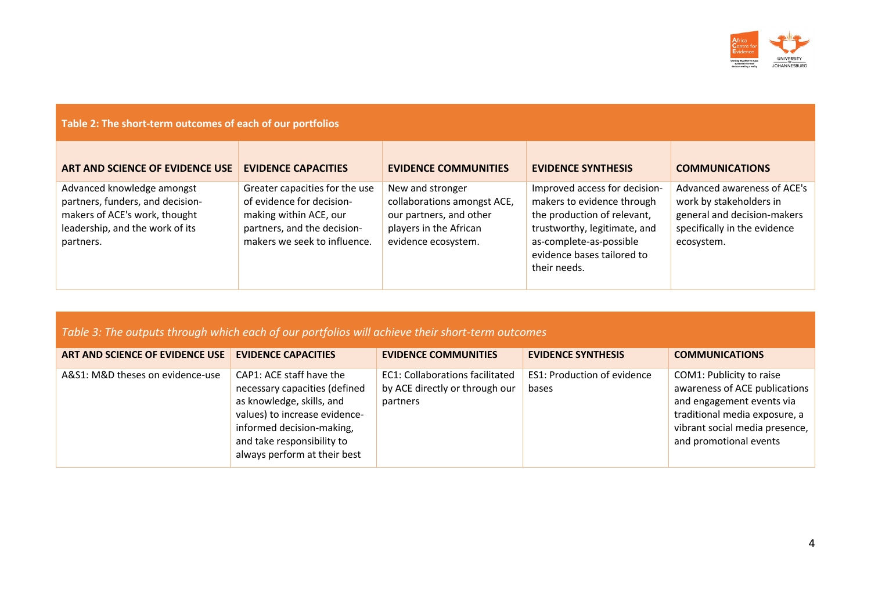

| Table 2: The short-term outcomes of each of our portfolios                                                                                      |                                                                                                                                                      |                                                                                                                             |                                                                                                                                                                                                     |                                                                                                                                     |  |  |
|-------------------------------------------------------------------------------------------------------------------------------------------------|------------------------------------------------------------------------------------------------------------------------------------------------------|-----------------------------------------------------------------------------------------------------------------------------|-----------------------------------------------------------------------------------------------------------------------------------------------------------------------------------------------------|-------------------------------------------------------------------------------------------------------------------------------------|--|--|
| ART AND SCIENCE OF EVIDENCE USE                                                                                                                 | <b>EVIDENCE CAPACITIES</b>                                                                                                                           | <b>EVIDENCE COMMUNITIES</b>                                                                                                 | <b>EVIDENCE SYNTHESIS</b>                                                                                                                                                                           | <b>COMMUNICATIONS</b>                                                                                                               |  |  |
| Advanced knowledge amongst<br>partners, funders, and decision-<br>makers of ACE's work, thought<br>leadership, and the work of its<br>partners. | Greater capacities for the use<br>of evidence for decision-<br>making within ACE, our<br>partners, and the decision-<br>makers we seek to influence. | New and stronger<br>collaborations amongst ACE,<br>our partners, and other<br>players in the African<br>evidence ecosystem. | Improved access for decision-<br>makers to evidence through<br>the production of relevant,<br>trustworthy, legitimate, and<br>as-complete-as-possible<br>evidence bases tailored to<br>their needs. | Advanced awareness of ACE's<br>work by stakeholders in<br>general and decision-makers<br>specifically in the evidence<br>ecosystem. |  |  |

*Table 3: The outputs through which each of our portfolios will achieve their short-term outcomes* 

| ART AND SCIENCE OF EVIDENCE USE  | <b>EVIDENCE CAPACITIES</b>                                                                                                                                                                                         | <b>EVIDENCE COMMUNITIES</b>                                                          | <b>EVIDENCE SYNTHESIS</b>                   | <b>COMMUNICATIONS</b>                                                                                                                                                               |
|----------------------------------|--------------------------------------------------------------------------------------------------------------------------------------------------------------------------------------------------------------------|--------------------------------------------------------------------------------------|---------------------------------------------|-------------------------------------------------------------------------------------------------------------------------------------------------------------------------------------|
| A&S1: M&D theses on evidence-use | CAP1: ACE staff have the<br>necessary capacities (defined<br>as knowledge, skills, and<br>values) to increase evidence-<br>informed decision-making,<br>and take responsibility to<br>always perform at their best | <b>EC1: Collaborations facilitated</b><br>by ACE directly or through our<br>partners | <b>ES1: Production of evidence</b><br>bases | COM1: Publicity to raise<br>awareness of ACE publications<br>and engagement events via<br>traditional media exposure, a<br>vibrant social media presence,<br>and promotional events |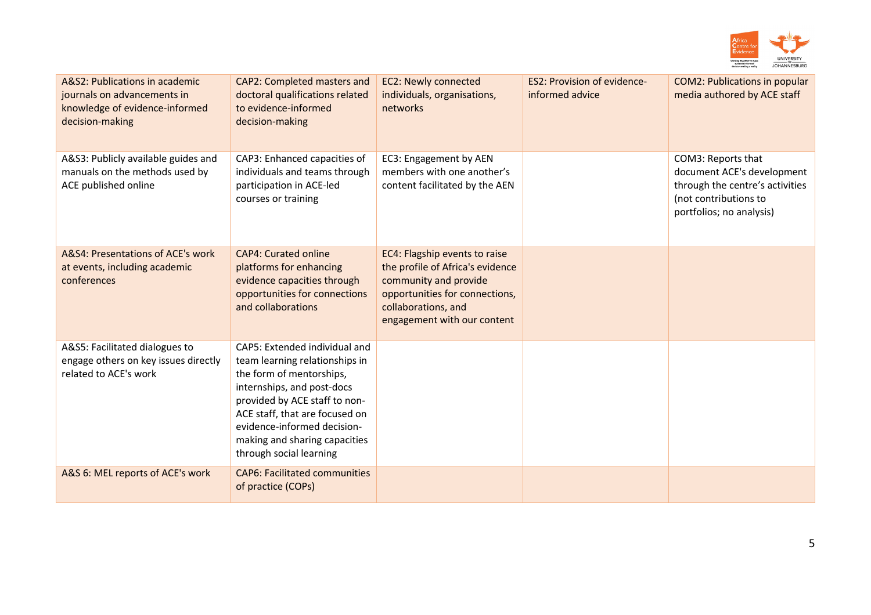

| A&S2: Publications in academic<br>journals on advancements in<br>knowledge of evidence-informed<br>decision-making | <b>CAP2: Completed masters and</b><br>doctoral qualifications related<br>to evidence-informed<br>decision-making                                                                                                                                                                        | <b>EC2: Newly connected</b><br>individuals, organisations,<br>networks                                                                                                             | <b>ES2: Provision of evidence-</b><br>informed advice | <b>COM2: Publications in popular</b><br>media authored by ACE staff                                                                      |
|--------------------------------------------------------------------------------------------------------------------|-----------------------------------------------------------------------------------------------------------------------------------------------------------------------------------------------------------------------------------------------------------------------------------------|------------------------------------------------------------------------------------------------------------------------------------------------------------------------------------|-------------------------------------------------------|------------------------------------------------------------------------------------------------------------------------------------------|
| A&S3: Publicly available guides and<br>manuals on the methods used by<br>ACE published online                      | CAP3: Enhanced capacities of<br>individuals and teams through<br>participation in ACE-led<br>courses or training                                                                                                                                                                        | EC3: Engagement by AEN<br>members with one another's<br>content facilitated by the AEN                                                                                             |                                                       | COM3: Reports that<br>document ACE's development<br>through the centre's activities<br>(not contributions to<br>portfolios; no analysis) |
| A&S4: Presentations of ACE's work<br>at events, including academic<br>conferences                                  | <b>CAP4: Curated online</b><br>platforms for enhancing<br>evidence capacities through<br>opportunities for connections<br>and collaborations                                                                                                                                            | EC4: Flagship events to raise<br>the profile of Africa's evidence<br>community and provide<br>opportunities for connections,<br>collaborations, and<br>engagement with our content |                                                       |                                                                                                                                          |
| A&S5: Facilitated dialogues to<br>engage others on key issues directly<br>related to ACE's work                    | CAP5: Extended individual and<br>team learning relationships in<br>the form of mentorships,<br>internships, and post-docs<br>provided by ACE staff to non-<br>ACE staff, that are focused on<br>evidence-informed decision-<br>making and sharing capacities<br>through social learning |                                                                                                                                                                                    |                                                       |                                                                                                                                          |
| A&S 6: MEL reports of ACE's work                                                                                   | <b>CAP6: Facilitated communities</b><br>of practice (COPs)                                                                                                                                                                                                                              |                                                                                                                                                                                    |                                                       |                                                                                                                                          |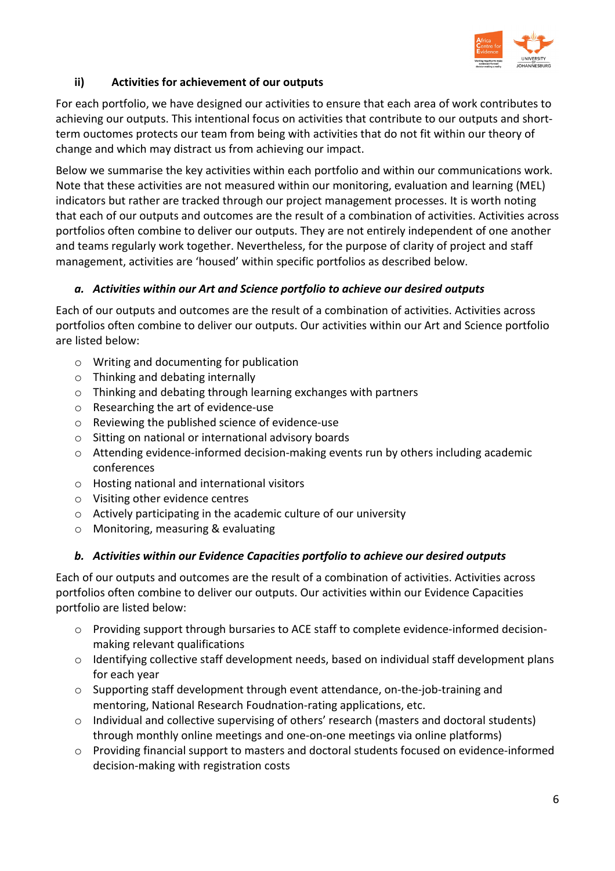

# <span id="page-7-0"></span>**ii) Activities for achievement of our outputs**

For each portfolio, we have designed our activities to ensure that each area of work contributes to achieving our outputs. This intentional focus on activities that contribute to our outputs and shortterm ouctomes protects our team from being with activities that do not fit within our theory of change and which may distract us from achieving our impact.

Below we summarise the key activities within each portfolio and within our communications work. Note that these activities are not measured within our monitoring, evaluation and learning (MEL) indicators but rather are tracked through our project management processes. It is worth noting that each of our outputs and outcomes are the result of a combination of activities. Activities across portfolios often combine to deliver our outputs. They are not entirely independent of one another and teams regularly work together. Nevertheless, for the purpose of clarity of project and staff management, activities are 'housed' within specific portfolios as described below.

#### *a. Activities within our Art and Science portfolio to achieve our desired outputs*

Each of our outputs and outcomes are the result of a combination of activities. Activities across portfolios often combine to deliver our outputs. Our activities within our Art and Science portfolio are listed below:

- o Writing and documenting for publication
- o Thinking and debating internally
- o Thinking and debating through learning exchanges with partners
- o Researching the art of evidence-use
- o Reviewing the published science of evidence-use
- o Sitting on national or international advisory boards
- o Attending evidence-informed decision-making events run by others including academic conferences
- o Hosting national and international visitors
- o Visiting other evidence centres
- o Actively participating in the academic culture of our university
- o Monitoring, measuring & evaluating

#### *b. Activities within our Evidence Capacities portfolio to achieve our desired outputs*

Each of our outputs and outcomes are the result of a combination of activities. Activities across portfolios often combine to deliver our outputs. Our activities within our Evidence Capacities portfolio are listed below:

- o Providing support through bursaries to ACE staff to complete evidence-informed decisionmaking relevant qualifications
- $\circ$  Identifying collective staff development needs, based on individual staff development plans for each year
- o Supporting staff development through event attendance, on-the-job-training and mentoring, National Research Foudnation-rating applications, etc.
- o Individual and collective supervising of others' research (masters and doctoral students) through monthly online meetings and one-on-one meetings via online platforms)
- o Providing financial support to masters and doctoral students focused on evidence-informed decision-making with registration costs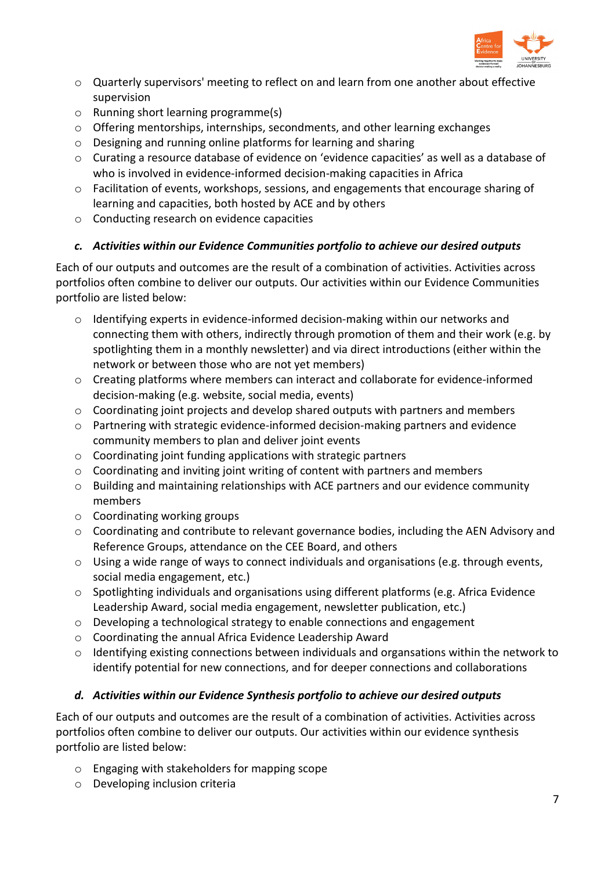

- o Quarterly supervisors' meeting to reflect on and learn from one another about effective supervision
- o Running short learning programme(s)
- $\circ$  Offering mentorships, internships, secondments, and other learning exchanges
- o Designing and running online platforms for learning and sharing
- o Curating a resource database of evidence on 'evidence capacities' as well as a database of who is involved in evidence-informed decision-making capacities in Africa
- $\circ$  Facilitation of events, workshops, sessions, and engagements that encourage sharing of learning and capacities, both hosted by ACE and by others
- o Conducting research on evidence capacities

## *c. Activities within our Evidence Communities portfolio to achieve our desired outputs*

Each of our outputs and outcomes are the result of a combination of activities. Activities across portfolios often combine to deliver our outputs. Our activities within our Evidence Communities portfolio are listed below:

- $\circ$  Identifying experts in evidence-informed decision-making within our networks and connecting them with others, indirectly through promotion of them and their work (e.g. by spotlighting them in a monthly newsletter) and via direct introductions (either within the network or between those who are not yet members)
- $\circ$  Creating platforms where members can interact and collaborate for evidence-informed decision-making (e.g. website, social media, events)
- $\circ$  Coordinating joint projects and develop shared outputs with partners and members
- o Partnering with strategic evidence-informed decision-making partners and evidence community members to plan and deliver joint events
- $\circ$  Coordinating joint funding applications with strategic partners
- o Coordinating and inviting joint writing of content with partners and members
- o Building and maintaining relationships with ACE partners and our evidence community members
- o Coordinating working groups
- $\circ$  Coordinating and contribute to relevant governance bodies, including the AEN Advisory and Reference Groups, attendance on the CEE Board, and others
- o Using a wide range of ways to connect individuals and organisations (e.g. through events, social media engagement, etc.)
- $\circ$  Spotlighting individuals and organisations using different platforms (e.g. Africa Evidence Leadership Award, social media engagement, newsletter publication, etc.)
- o Developing a technological strategy to enable connections and engagement
- o Coordinating the annual Africa Evidence Leadership Award
- $\circ$  Identifying existing connections between individuals and organsations within the network to identify potential for new connections, and for deeper connections and collaborations

#### *d. Activities within our Evidence Synthesis portfolio to achieve our desired outputs*

Each of our outputs and outcomes are the result of a combination of activities. Activities across portfolios often combine to deliver our outputs. Our activities within our evidence synthesis portfolio are listed below:

- o Engaging with stakeholders for mapping scope
- o Developing inclusion criteria